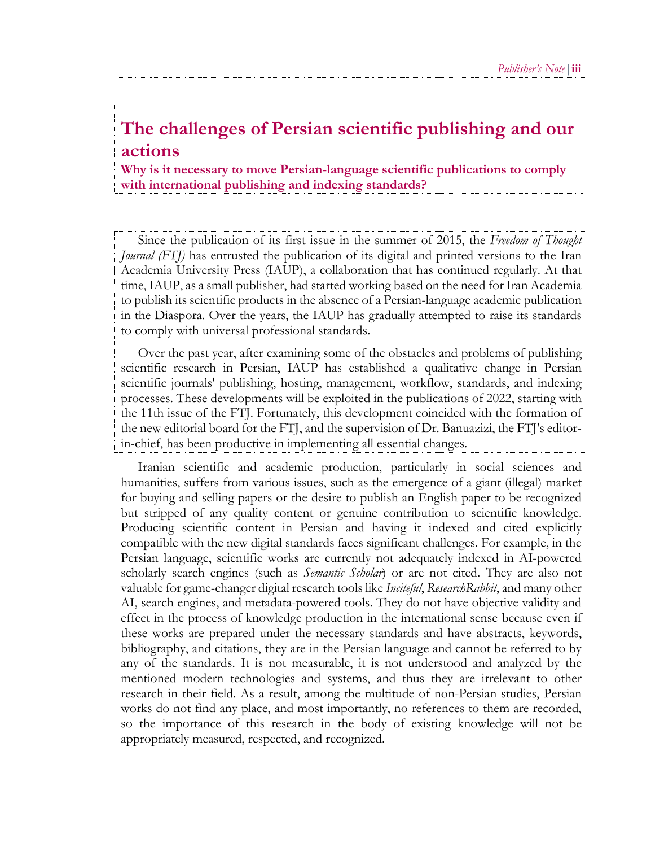## **The challenges of Persian scientific publishing and our actions**

**Why is it necessary to move Persian-language scientific publications to comply with international publishing and indexing standards?**

Since the publication of its first issue in the summer of 2015, the *Freedom of Thought Journal (FTJ)* has entrusted the publication of its digital and printed versions to the Iran Academia University Press (IAUP), a collaboration that has continued regularly. At that time, IAUP, as a small publisher, had started working based on the need for Iran Academia to publish its scientific products in the absence of a Persian-language academic publication in the Diaspora. Over the years, the IAUP has gradually attempted to raise its standards to comply with universal professional standards.

Over the past year, after examining some of the obstacles and problems of publishing scientific research in Persian, IAUP has established a qualitative change in Persian scientific journals' publishing, hosting, management, workflow, standards, and indexing processes. These developments will be exploited in the publications of 2022, starting with the 11th issue of the FTJ. Fortunately, this development coincided with the formation of the new editorial board for the FTJ, and the supervision of Dr. Banuazizi, the FTJ's editorin-chief, has been productive in implementing all essential changes.

Iranian scientific and academic production, particularly in social sciences and humanities, suffers from various issues, such as the emergence of a giant (illegal) market for buying and selling papers or the desire to publish an English paper to be recognized but stripped of any quality content or genuine contribution to scientific knowledge. Producing scientific content in Persian and having it indexed and cited explicitly compatible with the new digital standards faces significant challenges. For example, in the Persian language, scientific works are currently not adequately indexed in AI-powered scholarly search engines (such as *Semantic Scholar*) or are not cited. They are also not valuable for game-changer digital research tools like *Inciteful*, *ResearchRabbit*, and many other AI, search engines, and metadata-powered tools. They do not have objective validity and effect in the process of knowledge production in the international sense because even if these works are prepared under the necessary standards and have abstracts, keywords, bibliography, and citations, they are in the Persian language and cannot be referred to by any of the standards. It is not measurable, it is not understood and analyzed by the mentioned modern technologies and systems, and thus they are irrelevant to other research in their field. As a result, among the multitude of non-Persian studies, Persian works do not find any place, and most importantly, no references to them are recorded, so the importance of this research in the body of existing knowledge will not be appropriately measured, respected, and recognized.